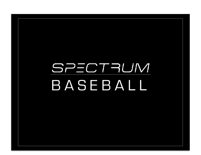## SPECTRUM BASEBALL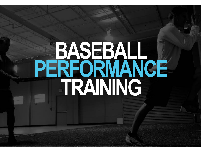# **BASEBALL PERFORMANCE TRAINING**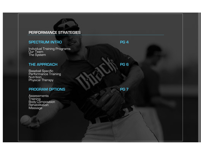#### **PERFORMANCE STRATEGIES**

#### **SPECTRUM INTRO PG 4**

Individual Training Programs Our Team The System

#### **THE APPROACH PG 6**

Baseball Specific Performance Training Nutrition Physical Therapy

#### **PROGRAM OPTIONS** PG 7

**Assessments** Training Body Composition Rehabilitation Massage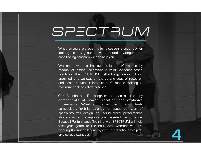## SPECTRUM

Whether you are preparing for a season, a scout day, or looking to integrate a year round strength and conditioning program we can help you.

We are driven to improve athletic performance by means of strict, scientifically valid, evidence-based practices. The SPECTRUM methodology leaves nothing unturned, and we stay on the cutting edge of research and best practices related to performance training to maximize each athlete's potential.

Our Baseball-specific program emphasizes the key components of power, rotation and explosive movements. Whether it's improving your body composition, flexibility, strength, or speed, our team of specialists will design an individualized performance strategy aimed to improve your baseball performance. Baseball Performance Training with SPECTRUM will help take your game to the next level, whether you are working the minor league system, a potential draft pick, **44 and 1999, 1999, 1999, 1999, 1999, 1999**<br>or a college standout.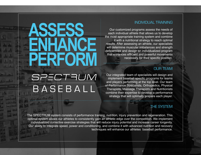#### INDIVIDUAL TRAINING

Our customized programs assess the needs of each individual athlete that allows us to develop the most appropriate training system and combine it with a nutritional strategy to reach optimal results. After assessing an athlete, our specialists will determine muscular imbalances and strength deficiencies and design an individualized program that enhances efficient and powerful movements necessary for their specific position.

#### OUR TEAM

Our integrated team of specialists will design and implement baseball specific programs for teams and players performing at the top level. Our team of Performance Specialists, Orthopedics, Physical Therapists, Massage Therapists and Nutritionists combine their expertise to develop a performance strategy that will optimally prepare each player.

#### THE SYSTEM

 The SPECTRUM system consists of performance training, nutrition, injury prevention and regeneration. This optimal system allows our athletes to consistently gain an athletic edge over the competition. We implement individualized corrective exercise strategies that will reduce injury potential and increase career longevity. Our ability to integrate speed, power and conditioning, and combine it with advanced nutrition and recovery techniques will enhance our athletes baseball performance.

### **PERFORM** SPECTRUM BASEBALL

**ENHANCE** 

**ASSESS**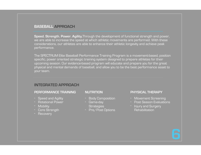#### **BASEBALL APPROACH**

**Speed. Strength. Power. Agility.**Through the development of functional strength and power, we are able to increase the speed at which athletic movements are performed. With these considerations, our athletes are able to enhance their athletic longevity and achieve peak performance.

The SPECTRUM Elite Baseball Performance Training Program is a movement-based, position specific, power oriented strategic training system designed to prepare athletes for their upcoming season. Our evidence-based program will educate and prepare you for the great physical and mental demands of baseball, and allow you to be the best performance asset to your team.

#### **INTEGRATED APPROACH**

#### **PERFORMANCE TRAINING**

- Speed and Agility
- Rotational Power<br>- Mobility
- 
- Core Strength Recovery
- 

#### **NUTRITION**

- Body Composition
- Game-day
	- **Strategies**
- Pre/Post Options

#### **PHYSICAL THERAPY**

- Movement Screening
- Post Season Evaluations Injury and Surgery
- **Rehabilitation**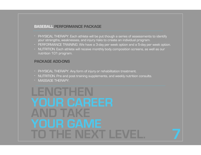#### **BASEBALL PERFORMANCE PACKAGE**

- PHYSICAL THERAPY. Each athlete will be put though a series of assessments to identify your strengths, weaknesses, and injury risks to create an individual program.
- PERFORMANCE TRAINING. We have a 3-day per week option and a 5-day per week option.
- NUTRITION. Each athlete will receive monthly body composition screens, as well as our nutrition 101 program.

#### **PACKAGE ADD-ONS**

- PHYSICAL THERAPY. Any form of injury or rehabilitation treatment.
- NUTRITION. Pre and post training supplements, and weekly nutrition consults.
- MASSAGE THERAPY.

## **LENGTHEN YOUR CAREER AND TAKE YOUR GAME TO THE NEXT LEVEL. <sup>7</sup>**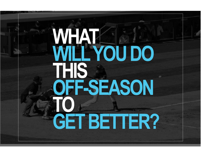## **WHAT WILL YOU DO THIS OFF-SEASON TO GET BETTER?**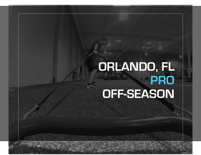### **ORLANDO, FL PRO OFF-SEASON**